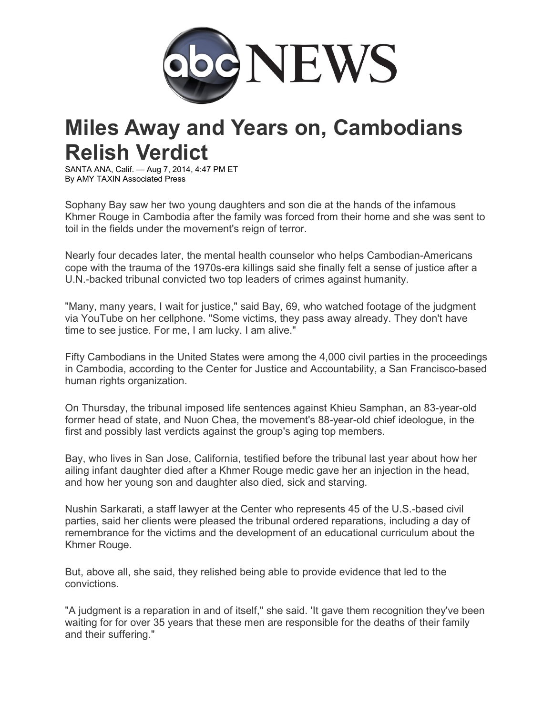

## **Miles Away and Years on, Cambodians Relish Verdict**

SANTA ANA, Calif. — Aug 7, 2014, 4:47 PM ET By AMY TAXIN Associated Press

Sophany Bay saw her two young daughters and son die at the hands of the infamous Khmer Rouge in Cambodia after the family was forced from their home and she was sent to toil in the fields under the movement's reign of terror.

Nearly four decades later, the mental health counselor who helps Cambodian-Americans cope with the trauma of the 1970s-era killings said she finally felt a sense of justice after a U.N.-backed tribunal convicted two top leaders of crimes against humanity.

"Many, many years, I wait for justice," said Bay, 69, who watched footage of the judgment via YouTube on her cellphone. "Some victims, they pass away already. They don't have time to see justice. For me, I am lucky. I am alive."

Fifty Cambodians in the United States were among the 4,000 civil parties in the proceedings in Cambodia, according to the Center for Justice and Accountability, a San Francisco-based human rights organization.

On Thursday, the tribunal imposed life sentences against Khieu Samphan, an 83-year-old former head of state, and Nuon Chea, the movement's 88-year-old chief ideologue, in the first and possibly last verdicts against the group's aging top members.

Bay, who lives in San Jose, California, testified before the tribunal last year about how her ailing infant daughter died after a Khmer Rouge medic gave her an injection in the head, and how her young son and daughter also died, sick and starving.

Nushin Sarkarati, a staff lawyer at the Center who represents 45 of the U.S.-based civil parties, said her clients were pleased the tribunal ordered reparations, including a day of remembrance for the victims and the development of an educational curriculum about the Khmer Rouge.

But, above all, she said, they relished being able to provide evidence that led to the convictions.

"A judgment is a reparation in and of itself," she said. 'It gave them recognition they've been waiting for for over 35 years that these men are responsible for the deaths of their family and their suffering."